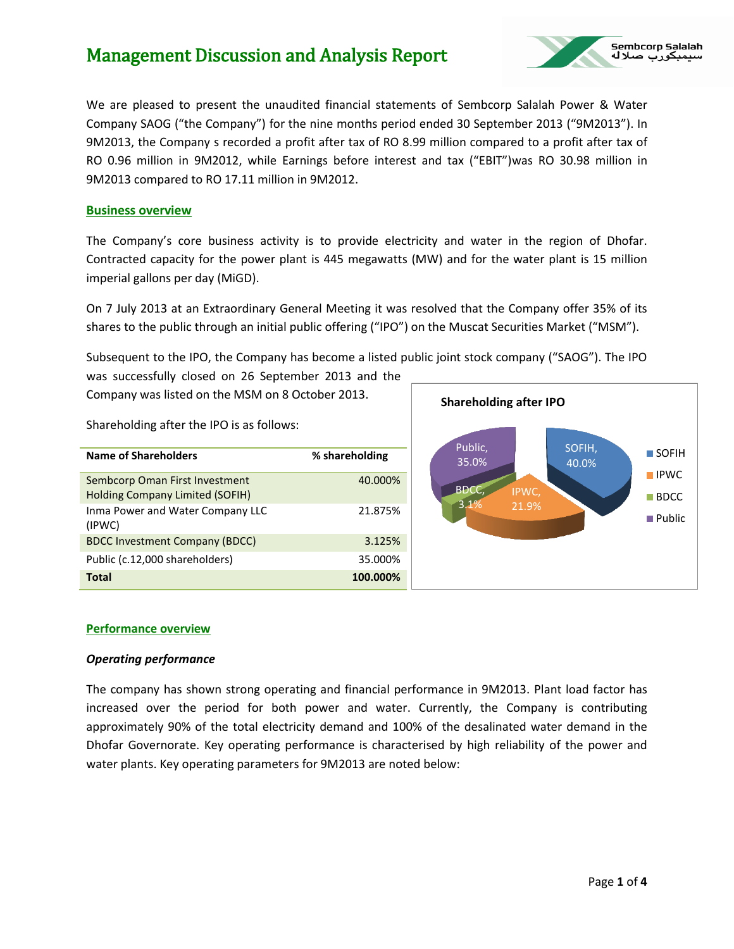

We are pleased to present the unaudited financial statements of Sembcorp Salalah Power & Water Company SAOG ("the Company") for the nine months period ended 30 September 2013 ("9M2013"). In 9M2013, the Company s recorded a profit after tax of RO 8.99 million compared to a profit after tax of RO 0.96 million in 9M2012, while Earnings before interest and tax ("EBIT") was RO 30.98 million in 9M2013 compared to RO 17.11 million in 9M2012.

#### **Business overview**

The Company's core business activity is to provide electricity and water in the region of Dhofar. Contracted capacity for the power plant is 445 megawatts (MW) and for the water plant is 15 million imperial gallons per day (MiGD).

On 7 July 2013 at an Extraordinary General Meeting it was resolved that the Company offer 35% of its shares to the public through an initial public offering ("IPO") on the Muscat Securities Market ("MSM").

Subsequent to the IPO, the Company has become a listed public joint stock company ("SAOG"). The IPO was successfully closed on 26 September 2013 and the

Company was listed on the MSM on 8 October 2013.

Shareholding after the IPO is as follows:

| Name of Shareholders                                                     | % shareholding |
|--------------------------------------------------------------------------|----------------|
| Sembcorp Oman First Investment<br><b>Holding Company Limited (SOFIH)</b> | 40.000%        |
| Inma Power and Water Company LLC<br>(IPWC)                               | 21.875%        |
| <b>BDCC Investment Company (BDCC)</b>                                    | 3.125%         |
| Public (c.12,000 shareholders)                                           | 35.000%        |
| Total                                                                    | 100.000%       |



#### **Performance overview**

#### *Operating performance*

The company has shown strong operating and financial performance in 9M2013. Plant load factor has increased over the period for both power and water. Currently, the Company is contributing approximately 90% of the total electricity demand and 100% of the desalinated water demand in the Dhofar Governorate. Key operating performance is characterised by high reliability of the power and water plants. Key operating parameters for 9M2013 are noted below: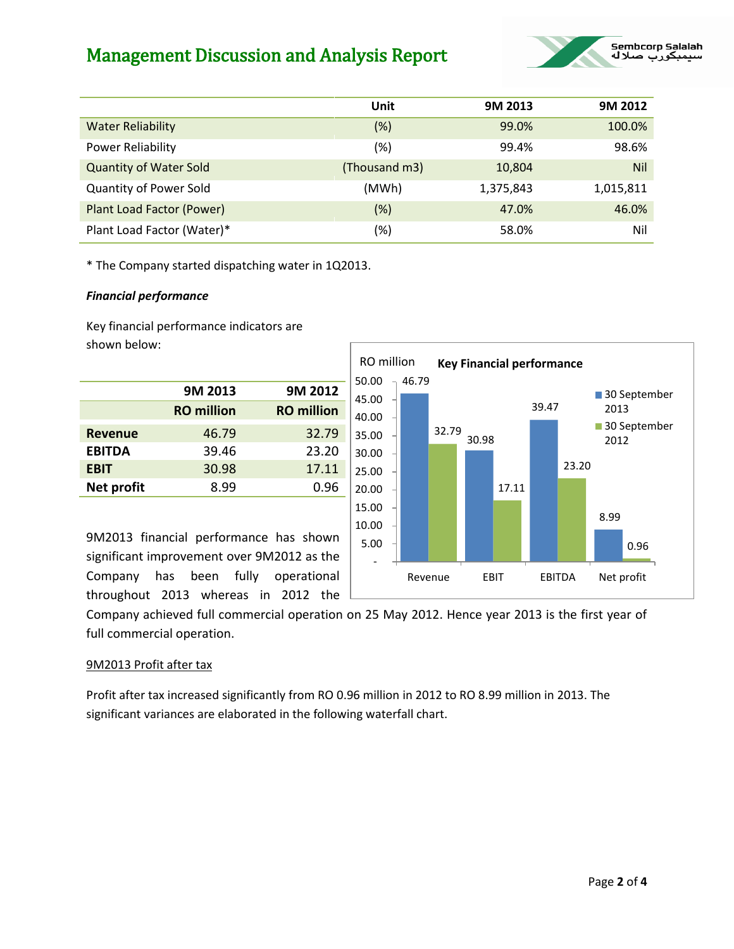

|                               | Unit          | 9M 2013   | 9M 2012    |
|-------------------------------|---------------|-----------|------------|
| <b>Water Reliability</b>      | (%)           | 99.0%     | 100.0%     |
| <b>Power Reliability</b>      | (%)           | 99.4%     | 98.6%      |
| <b>Quantity of Water Sold</b> | (Thousand m3) | 10,804    | <b>Nil</b> |
| <b>Quantity of Power Sold</b> | (MWh)         | 1,375,843 | 1,015,811  |
| Plant Load Factor (Power)     | $(\%)$        | 47.0%     | 46.0%      |
| Plant Load Factor (Water)*    | (%)           | 58.0%     | Nil        |

50.00

46.79

RO million **Key Financial performance** 

\* The Company started dispatching water in 1Q2013.

### *Financial performance*

Key financial performance indicators are shown below:

|                | 9M 2013           | 9M 2012           |
|----------------|-------------------|-------------------|
|                | <b>RO</b> million | <b>RO</b> million |
| <b>Revenue</b> | 46.79             | 32.79             |
| <b>EBITDA</b>  | 39.46             | 23.20             |
| <b>EBIT</b>    | 30.98             | 17.11             |
| Net profit     | 8.99              | 0.96              |

30.98 39.47 8.99 32.79 17.11 23.20 0.96 - 5.00 10.00 15.00 20.00 25.00 30.00 35.00 40.00 45.00 Revenue EBIT EBITDA Net profit 30 September 2013 30 September 2012

9M2013 financial performance has shown significant improvement over 9M2012 as the Company has been fully operational throughout 2013 whereas in 2012 the

Company achieved full commercial operation on 25 May 2012. Hence year 2013 is the first year of full commercial operation.

## 9M2013 Profit after tax

Profit after tax increased significantly from RO 0.96 million in 2012 to RO 8.99 million in 2013. The significant variances are elaborated in the following waterfall chart.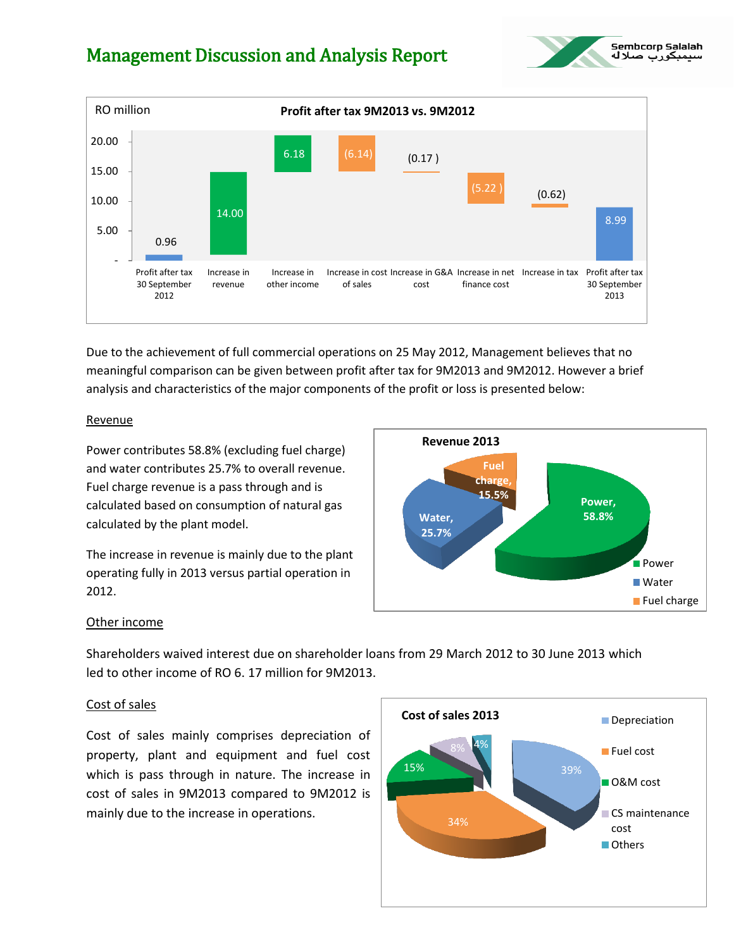



Due to the achievement of full commercial operations on 25 May 2012, Management believes that no meaningful comparison can be given between profit after tax for 9M2013 and 9M2012. However a brief analysis and characteristics of the major components of the profit or loss is presented below:

#### Revenue

Power contributes 58.8% (excluding fuel charge) and water contributes 25.7% to overall revenue. Fuel charge revenue is a pass through and is calculated based on consumption of natural gas calculated by the plant model.

The increase in revenue is mainly due to the plant operating fully in 2013 versus partial operation in 2012.



#### Other income

Shareholders waived interest due on shareholder loans from 29 March 2012 to 30 June 2013 which led to other income of RO 6. 17 million for 9M2013.

#### Cost of sales

Cost of sales mainly comprises depreciation of property, plant and equipment and fuel cost which is pass through in nature. The increase in cost of sales in 9M2013 compared to 9M2012 is mainly due to the increase in operations.